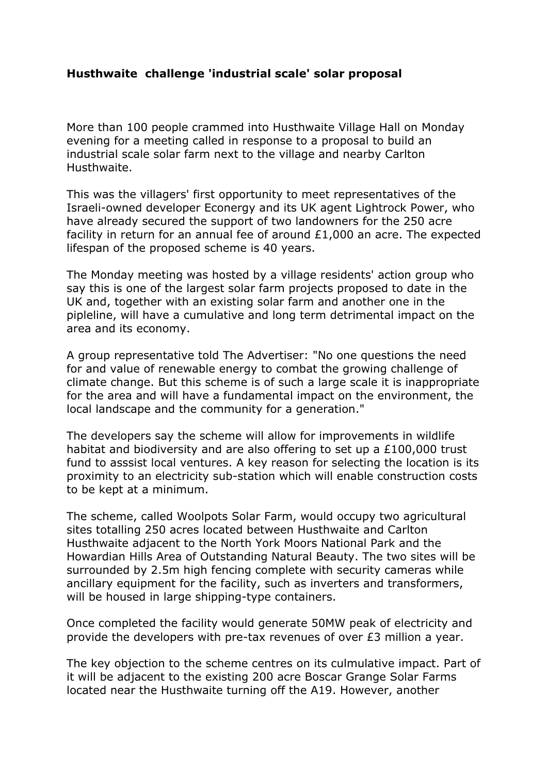## **Husthwaite challenge 'industrial scale' solar proposal**

More than 100 people crammed into Husthwaite Village Hall on Monday evening for a meeting called in response to a proposal to build an industrial scale solar farm next to the village and nearby Carlton Husthwaite.

This was the villagers' first opportunity to meet representatives of the Israeli-owned developer Econergy and its UK agent Lightrock Power, who have already secured the support of two landowners for the 250 acre facility in return for an annual fee of around  $£1,000$  an acre. The expected lifespan of the proposed scheme is 40 years.

The Monday meeting was hosted by a village residents' action group who say this is one of the largest solar farm projects proposed to date in the UK and, together with an existing solar farm and another one in the pipleline, will have a cumulative and long term detrimental impact on the area and its economy.

A group representative told The Advertiser: "No one questions the need for and value of renewable energy to combat the growing challenge of climate change. But this scheme is of such a large scale it is inappropriate for the area and will have a fundamental impact on the environment, the local landscape and the community for a generation."

The developers say the scheme will allow for improvements in wildlife habitat and biodiversity and are also offering to set up a £100,000 trust fund to asssist local ventures. A key reason for selecting the location is its proximity to an electricity sub-station which will enable construction costs to be kept at a minimum.

The scheme, called Woolpots Solar Farm, would occupy two agricultural sites totalling 250 acres located between Husthwaite and Carlton Husthwaite adjacent to the North York Moors National Park and the Howardian Hills Area of Outstanding Natural Beauty. The two sites will be surrounded by 2.5m high fencing complete with security cameras while ancillary equipment for the facility, such as inverters and transformers, will be housed in large shipping-type containers.

Once completed the facility would generate 50MW peak of electricity and provide the developers with pre-tax revenues of over £3 million a year.

The key objection to the scheme centres on its culmulative impact. Part of it will be adjacent to the existing 200 acre Boscar Grange Solar Farms located near the Husthwaite turning off the A19. However, another